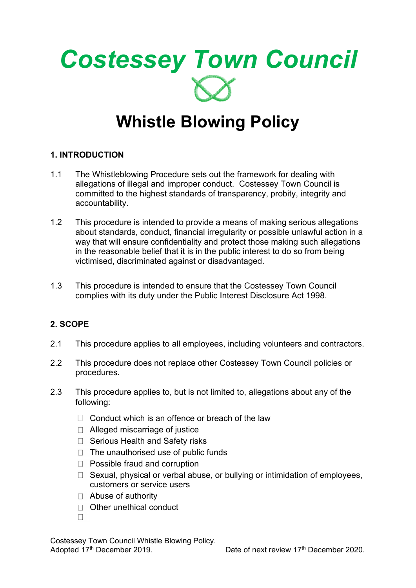

# **Whistle Blowing Policy**

# **1. INTRODUCTION**

- 1.1 The Whistleblowing Procedure sets out the framework for dealing with allegations of illegal and improper conduct. Costessey Town Council is committed to the highest standards of transparency, probity, integrity and accountability.
- 1.2 This procedure is intended to provide a means of making serious allegations about standards, conduct, financial irregularity or possible unlawful action in a way that will ensure confidentiality and protect those making such allegations in the reasonable belief that it is in the public interest to do so from being victimised, discriminated against or disadvantaged.
- 1.3 This procedure is intended to ensure that the Costessey Town Council complies with its duty under the Public Interest Disclosure Act 1998.

# **2. SCOPE**

- 2.1 This procedure applies to all employees, including volunteers and contractors.
- 2.2 This procedure does not replace other Costessey Town Council policies or procedures.
- 2.3 This procedure applies to, but is not limited to, allegations about any of the following:
	- $\Box$  Conduct which is an offence or breach of the law
	- $\Box$  Alleged miscarriage of justice
	- $\Box$  Serious Health and Safety risks
	- $\Box$  The unauthorised use of public funds
	- □ Possible fraud and corruption
	- $\Box$  Sexual, physical or verbal abuse, or bullying or intimidation of employees, customers or service users
	- □ Abuse of authority
	- □ Other unethical conduct
	- $\Box$

Costessey Town Council Whistle Blowing Policy. Adopted 17<sup>th</sup> December 2019. Date of next review 17<sup>th</sup> December 2020.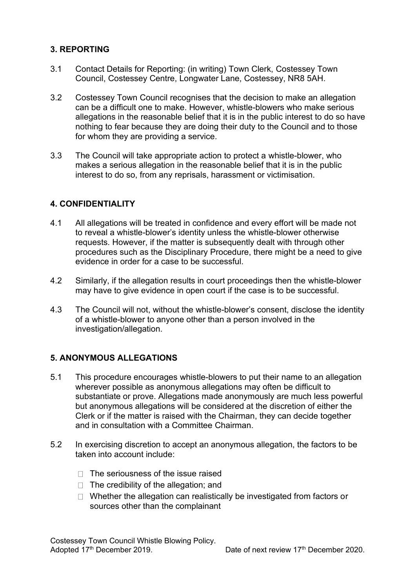# **3. REPORTING**

- 3.1 Contact Details for Reporting: (in writing) Town Clerk, Costessey Town Council, Costessey Centre, Longwater Lane, Costessey, NR8 5AH.
- 3.2 Costessey Town Council recognises that the decision to make an allegation can be a difficult one to make. However, whistle-blowers who make serious allegations in the reasonable belief that it is in the public interest to do so have nothing to fear because they are doing their duty to the Council and to those for whom they are providing a service.
- 3.3 The Council will take appropriate action to protect a whistle-blower, who makes a serious allegation in the reasonable belief that it is in the public interest to do so, from any reprisals, harassment or victimisation.

## **4. CONFIDENTIALITY**

- 4.1 All allegations will be treated in confidence and every effort will be made not to reveal a whistle-blower's identity unless the whistle-blower otherwise requests. However, if the matter is subsequently dealt with through other procedures such as the Disciplinary Procedure, there might be a need to give evidence in order for a case to be successful.
- 4.2 Similarly, if the allegation results in court proceedings then the whistle-blower may have to give evidence in open court if the case is to be successful.
- 4.3 The Council will not, without the whistle-blower's consent, disclose the identity of a whistle-blower to anyone other than a person involved in the investigation/allegation.

#### **5. ANONYMOUS ALLEGATIONS**

- 5.1 This procedure encourages whistle-blowers to put their name to an allegation wherever possible as anonymous allegations may often be difficult to substantiate or prove. Allegations made anonymously are much less powerful but anonymous allegations will be considered at the discretion of either the Clerk or if the matter is raised with the Chairman, they can decide together and in consultation with a Committee Chairman.
- 5.2 In exercising discretion to accept an anonymous allegation, the factors to be taken into account include:
	- $\Box$  The seriousness of the issue raised
	- $\Box$  The credibility of the allegation; and
	- $\Box$  Whether the allegation can realistically be investigated from factors or sources other than the complainant

Costessey Town Council Whistle Blowing Policy. Adopted 17<sup>th</sup> December 2019. Date of next review 17<sup>th</sup> December 2020.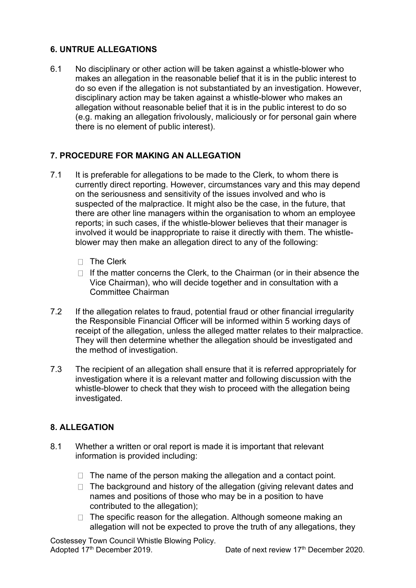# **6. UNTRUE ALLEGATIONS**

6.1 No disciplinary or other action will be taken against a whistle-blower who makes an allegation in the reasonable belief that it is in the public interest to do so even if the allegation is not substantiated by an investigation. However, disciplinary action may be taken against a whistle-blower who makes an allegation without reasonable belief that it is in the public interest to do so (e.g. making an allegation frivolously, maliciously or for personal gain where there is no element of public interest).

# **7. PROCEDURE FOR MAKING AN ALLEGATION**

- 7.1 It is preferable for allegations to be made to the Clerk, to whom there is currently direct reporting. However, circumstances vary and this may depend on the seriousness and sensitivity of the issues involved and who is suspected of the malpractice. It might also be the case, in the future, that there are other line managers within the organisation to whom an employee reports; in such cases, if the whistle-blower believes that their manager is involved it would be inappropriate to raise it directly with them. The whistleblower may then make an allegation direct to any of the following:
	- $\Box$  The Clerk
	- $\Box$  If the matter concerns the Clerk, to the Chairman (or in their absence the Vice Chairman), who will decide together and in consultation with a Committee Chairman
- 7.2 If the allegation relates to fraud, potential fraud or other financial irregularity the Responsible Financial Officer will be informed within 5 working days of receipt of the allegation, unless the alleged matter relates to their malpractice. They will then determine whether the allegation should be investigated and the method of investigation.
- 7.3 The recipient of an allegation shall ensure that it is referred appropriately for investigation where it is a relevant matter and following discussion with the whistle-blower to check that they wish to proceed with the allegation being investigated.

# **8. ALLEGATION**

- 8.1 Whether a written or oral report is made it is important that relevant information is provided including:
	- $\Box$  The name of the person making the allegation and a contact point.
	- $\Box$  The background and history of the allegation (giving relevant dates and names and positions of those who may be in a position to have contributed to the allegation);
	- $\Box$  The specific reason for the allegation. Although someone making an allegation will not be expected to prove the truth of any allegations, they

Costessey Town Council Whistle Blowing Policy. Adopted 17<sup>th</sup> December 2019. Date of next review 17<sup>th</sup> December 2020.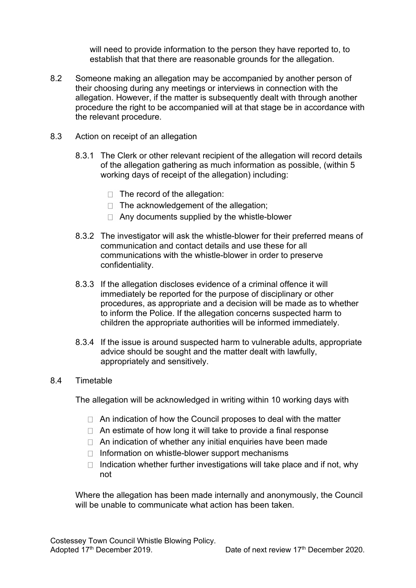will need to provide information to the person they have reported to, to establish that that there are reasonable grounds for the allegation.

- 8.2 Someone making an allegation may be accompanied by another person of their choosing during any meetings or interviews in connection with the allegation. However, if the matter is subsequently dealt with through another procedure the right to be accompanied will at that stage be in accordance with the relevant procedure.
- 8.3 Action on receipt of an allegation
	- 8.3.1 The Clerk or other relevant recipient of the allegation will record details of the allegation gathering as much information as possible, (within 5 working days of receipt of the allegation) including:
		- $\Box$  The record of the allegation:
		- $\Box$  The acknowledgement of the allegation;
		- $\Box$  Any documents supplied by the whistle-blower
	- 8.3.2 The investigator will ask the whistle-blower for their preferred means of communication and contact details and use these for all communications with the whistle-blower in order to preserve confidentiality.
	- 8.3.3 If the allegation discloses evidence of a criminal offence it will immediately be reported for the purpose of disciplinary or other procedures, as appropriate and a decision will be made as to whether to inform the Police. If the allegation concerns suspected harm to children the appropriate authorities will be informed immediately.
	- 8.3.4 If the issue is around suspected harm to vulnerable adults, appropriate advice should be sought and the matter dealt with lawfully, appropriately and sensitively.

#### 8.4 Timetable

The allegation will be acknowledged in writing within 10 working days with

- $\Box$  An indication of how the Council proposes to deal with the matter
- $\Box$  An estimate of how long it will take to provide a final response
- $\Box$  An indication of whether any initial enquiries have been made
- $\Box$  Information on whistle-blower support mechanisms
- $\Box$  Indication whether further investigations will take place and if not, why not

Where the allegation has been made internally and anonymously, the Council will be unable to communicate what action has been taken.